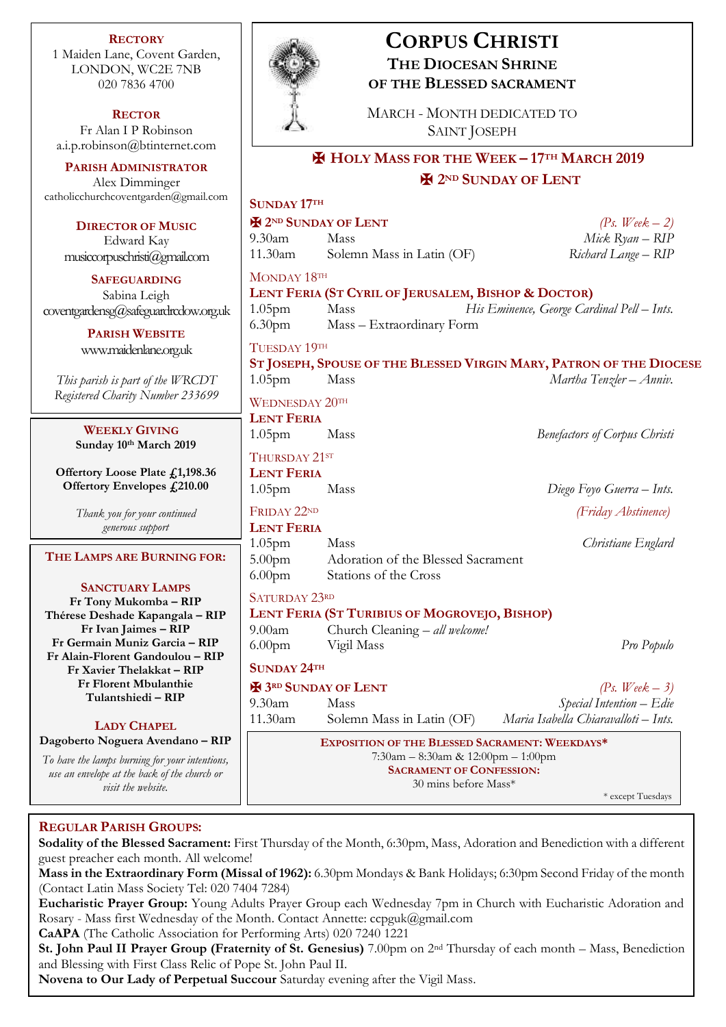**RECTORY** 1 Maiden Lane, Covent Garden, LONDON, WC2E 7NB 020 7836 4700

**RECTOR** Fr Alan I P Robinson [a.i.p.robinson@btinternet.com](mailto:a.i.p.robinson@btinternet.com)

**PARISH ADMINISTRATOR** Alex Dimminger [catholicchurchcoventgarden@gmail.com](mailto:catholicchurchcoventgarden@gmail.com)

**DIRECTOR OF MUSIC** Edward Kay musiccorpuschristi@gmail.com

**SAFEGUARDING** Sabina Leigh [coventgardensg@safeguardrcdow.org.uk](mailto:coventgardensg@safeguardrcdow.org.uk)

> **PARISH WEBSITE** [www.maidenlane.org.uk](http://www.maidenlane.org.uk/)

*This parish is part of the WRCDT Registered Charity Number 233699*

> **WEEKLY GIVING Sunday 10th March 2019**

**Offertory Loose Plate £1,198.36 Offertory Envelopes £210.00**

> *Thank you for your continued generous support*

### **THE LAMPS ARE BURNING FOR:**

**SANCTUARY LAMPS Fr Tony Mukomba – RIP Thérese Deshade Kapangala – RIP Fr Ivan Jaimes – RIP Fr Germain Muniz Garcia – RIP Fr Alain-Florent Gandoulou – RIP Fr Xavier Thelakkat – RIP Fr Florent Mbulanthie Tulantshiedi – RIP** 

## **LADY CHAPEL**

**Dagoberto Noguera Avendano – RIP**

*To have the lamps burning for your intentions, use an envelope at the back of the church or visit the website.*



## **CORPUS CHRISTI THE DIOCESAN SHRINE OF THE BLESSED SACRAMENT**

MARCH - MONTH DEDICATED TO SAINT JOSEPH

# ✠ **HOLY MASS FOR THE WEEK – 17TH MARCH 2019** ✠ **2ND SUNDAY OF LENT**

# **SUNDAY 17TH**

 $\bigoplus$  2<sup>ND</sup> SUNDAY OF LENT  $\bigoplus$  2<sup>ND</sup>  $\bigoplus$  2<sup>2</sup>

9.30am Mass *Mick Ryan – RIP* 11.30am Solemn Mass in Latin (OF) *Richard Lange – RIP*

MONDAY 18TH

**LENT FERIA (ST CYRIL OF JERUSALEM, BISHOP & DOCTOR)**

1.05pm Mass *His Eminence, George Cardinal Pell – Ints.* 6.30pm Mass – Extraordinary Form

## TUESDAY 19TH

**ST JOSEPH, SPOUSE OF THE BLESSED VIRGIN MARY, PATRON OF THE DIOCESE** 1.05pm Mass *Martha Tenzler – Anniv.*

WEDNESDAY 20TH **LENT FERIA** 1.05pm Mass *Benefactors of Corpus Christi*

THURSDAY 21sr

**LENT FERIA**  1.05pm Mass *Diego Foyo Guerra – Ints.* 

FRIDAY 22ND *(Friday Abstinence)*

**LENT FERIA** 

1.05pm Mass *Christiane Englard* 5.00pm Adoration of the Blessed Sacrament 6.00pm Stations of the Cross

## SATURDAY 23RD

**LENT FERIA (ST TURIBIUS OF MOGROVEJO, BISHOP)**

9.00am Church Cleaning – *all welcome!* 6.00pm Vigil Mass *Pro Populo*

**SUNDAY 24TH**

 $\mathbf{F}(\mathbf{3}) = \mathbf{S}(\mathbf{3}) = \mathbf{S}(\mathbf{3}) = \mathbf{S}(\mathbf{3}) = \mathbf{S}(\mathbf{3}) = \mathbf{S}(\mathbf{3}) = \mathbf{S}(\mathbf{3}) = \mathbf{S}(\mathbf{3}) = \mathbf{S}(\mathbf{3}) = \mathbf{S}(\mathbf{3}) = \mathbf{S}(\mathbf{3}) = \mathbf{S}(\mathbf{3}) = \mathbf{S}(\mathbf{3}) = \mathbf{S}(\mathbf{3}) = \mathbf{S}(\mathbf{3}) = \mathbf{S}(\mathbf{3}) = \mathbf{S}(\mathbf{3})$ 9.30am Mass *Special Intention – Edie* 11.30am Solemn Mass in Latin (OF) *Maria Isabella Chiaravalloti – Ints.*

> **EXPOSITION OF THE BLESSED SACRAMENT: WEEKDAYS\*** 7:30am – 8:30am & 12:00pm – 1:00pm **SACRAMENT OF CONFESSION:**  30 mins before Mass\*

\* except Tuesdays

## **REGULAR PARISH GROUPS:**

**Sodality of the Blessed Sacrament:** First Thursday of the Month, 6:30pm, Mass, Adoration and Benediction with a different guest preacher each month. All welcome!

**Mass in the Extraordinary Form (Missal of 1962):** 6.30pm Mondays & Bank Holidays; 6:30pm Second Friday of the month (Contact Latin Mass Society Tel: 020 7404 7284)

**Eucharistic Prayer Group:** Young Adults Prayer Group each Wednesday 7pm in Church with Eucharistic Adoration and Rosary - Mass first Wednesday of the Month. Contact Annette: ccpguk@gmail.com

**CaAPA** (The Catholic Association for Performing Arts) 020 7240 1221

**St. John Paul II Prayer Group (Fraternity of St. Genesius)** 7.00pm on 2nd Thursday of each month – Mass, Benediction and Blessing with First Class Relic of Pope St. John Paul II.

**Novena to Our Lady of Perpetual Succour** Saturday evening after the Vigil Mass.